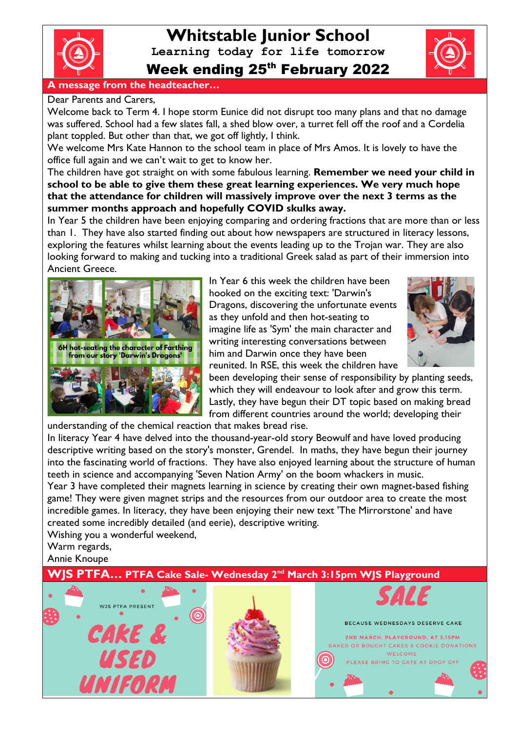

# **Whitstable Junior School**

**Learning today for life tomorrow**

Week ending 25<sup>th</sup> February 2022



#### **A message from the headteacher…**

Dear Parents and Carers,

Welcome back to Term 4. I hope storm Eunice did not disrupt too many plans and that no damage was suffered. School had a few slates fall, a shed blow over, a turret fell off the roof and a Cordelia plant toppled. But other than that, we got off lightly, I think.

We welcome Mrs Kate Hannon to the school team in place of Mrs Amos. It is lovely to have the office full again and we can't wait to get to know her.

The children have got straight on with some fabulous learning. **Remember we need your child in school to be able to give them these great learning experiences. We very much hope that the attendance for children will massively improve over the next 3 terms as the summer months approach and hopefully COVID skulks away.**

In Year 5 the children have been enjoying comparing and ordering fractions that are more than or less than 1. They have also started finding out about how newspapers are structured in literacy lessons, exploring the features whilst learning about the events leading up to the Trojan war. They are also looking forward to making and tucking into a traditional Greek salad as part of their immersion into Ancient Greece.



In Year 6 this week the children have been hooked on the exciting text: 'Darwin's Dragons, discovering the unfortunate events as they unfold and then hot-seating to imagine life as 'Sym' the main character and writing interesting conversations between him and Darwin once they have been reunited. In RSE, this week the children have



been developing their sense of responsibility by planting seeds, which they will endeavour to look after and grow this term. Lastly, they have begun their DT topic based on making bread from different countries around the world; developing their

understanding of the chemical reaction that makes bread rise.

In literacy Year 4 have delved into the thousand-year-old story Beowulf and have loved producing descriptive writing based on the story's monster, Grendel. In maths, they have begun their journey into the fascinating world of fractions. They have also enjoyed learning about the structure of human teeth in science and accompanying 'Seven Nation Army' on the boom whackers in music.

Year 3 have completed their magnets learning in science by creating their own magnet-based fishing game! They were given magnet strips and the resources from our outdoor area to create the most incredible games. In literacy, they have been enjoying their new text 'The Mirrorstone' and have created some incredibly detailed (and eerie), descriptive writing.

Wishing you a wonderful weekend, Warm regards,

Annie Knoupe

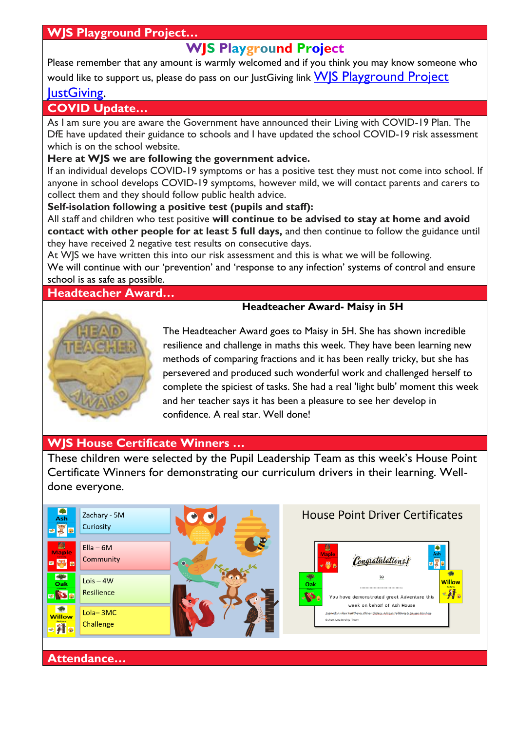# **WJS Playground Project…**

# **WJS Playground Project**

Please remember that any amount is warmly welcomed and if you think you may know someone who would like to support us, please do pass on our JustGiving link WIS Playground Project

# **[JustGiving.](https://www.justgiving.com/crowdfunding/wjsplaygroundproject?utm_term=Egn8J7jwd)**

### **COVID Update…**

As I am sure you are aware the Government have announced their Living with COVID-19 Plan. The DfE have updated their guidance to schools and I have updated the school COVID-19 risk assessment which is on the school website.

#### **Here at WJS we are following the government advice.**

If an individual develops COVID-19 symptoms or has a positive test they must not come into school. If anyone in school develops COVID-19 symptoms, however mild, we will contact parents and carers to collect them and they should follow public health advice.

#### **Self-isolation following a positive test (pupils and staff):**

All staff and children who test positive **will continue to be advised to stay at home and avoid contact with other people for at least 5 full days,** and then continue to follow the guidance until they have received 2 negative test results on consecutive days.

At WJS we have written this into our risk assessment and this is what we will be following. We will continue with our 'prevention' and 'response to any infection' systems of control and ensure school is as safe as possible.

#### **Headteacher Award…**

#### **Headteacher Award- Maisy in 5H**



The Headteacher Award goes to Maisy in 5H. She has shown incredible resilience and challenge in maths this week. They have been learning new methods of comparing fractions and it has been really tricky, but she has persevered and produced such wonderful work and challenged herself to complete the spiciest of tasks. She had a real 'light bulb' moment this week and her teacher says it has been a pleasure to see her develop in confidence. A real star. Well done!

# **WJS House Certificate Winners …**

These children were selected by the Pupil Leadership Team as this week's House Point Certificate Winners for demonstrating our curriculum drivers in their learning. Welldone everyone.



# **Attendance…**